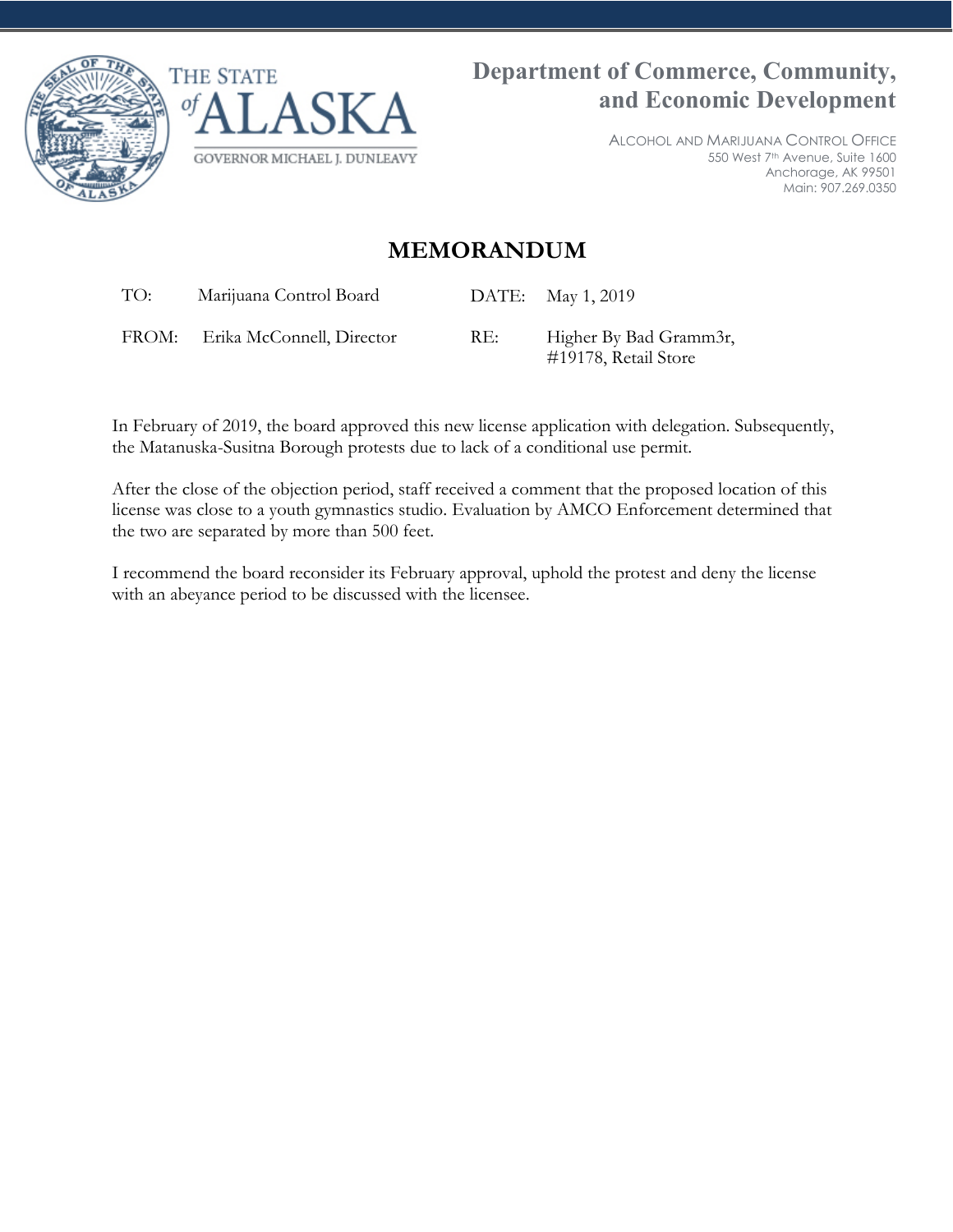



ALCOHOL AND MARIJUANA CONTROL OFFICE 550 West 7th Avenue, Suite 1600 Anchorage, AK 99501 Main: 907.269.0350

## **MEMORANDUM**

TO: Marijuana Control Board DATE: May 1, 2019

FROM: Erika McConnell, Director RE: Higher By Bad Gramm3r,

#19178, Retail Store

In February of 2019, the board approved this new license application with delegation. Subsequently, the Matanuska-Susitna Borough protests due to lack of a conditional use permit.

After the close of the objection period, staff received a comment that the proposed location of this license was close to a youth gymnastics studio. Evaluation by AMCO Enforcement determined that the two are separated by more than 500 feet.

I recommend the board reconsider its February approval, uphold the protest and deny the license with an abeyance period to be discussed with the licensee.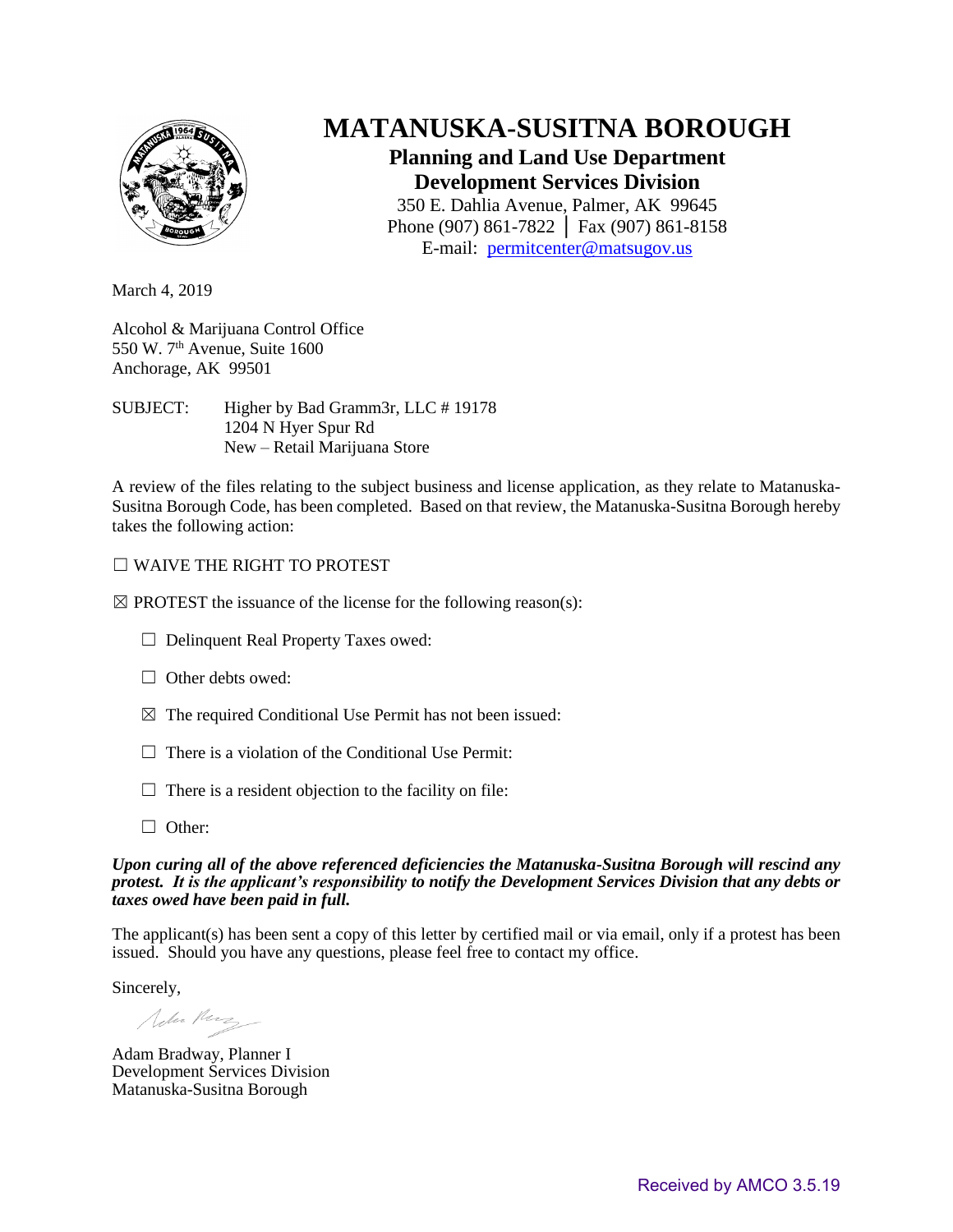

# **MATANUSKA-SUSITNA BOROUGH**

## **Planning and Land Use Department Development Services Division**

350 E. Dahlia Avenue, Palmer, AK 99645 Phone (907) 861-7822 │ Fax (907) 861-8158 E-mail: [permitcenter@matsugov.us](mailto:permitcenter@matsugov.us)

March 4, 2019

Alcohol & Marijuana Control Office 550 W.  $7<sup>th</sup>$  Avenue, Suite 1600 Anchorage, AK 99501

SUBJECT: Higher by Bad Gramm3r, LLC # 19178 1204 N Hyer Spur Rd New – Retail Marijuana Store

A review of the files relating to the subject business and license application, as they relate to Matanuska-Susitna Borough Code, has been completed. Based on that review, the Matanuska-Susitna Borough hereby takes the following action:

### ☐ WAIVE THE RIGHT TO PROTEST

 $\boxtimes$  PROTEST the issuance of the license for the following reason(s):

- ☐ Delinquent Real Property Taxes owed:
- $\Box$  Other debts owed:
- $\boxtimes$  The required Conditional Use Permit has not been issued:
- $\Box$  There is a violation of the Conditional Use Permit:
- $\Box$  There is a resident objection to the facility on file:
- □ Other:

#### *Upon curing all of the above referenced deficiencies the Matanuska-Susitna Borough will rescind any protest. It is the applicant's responsibility to notify the Development Services Division that any debts or taxes owed have been paid in full.*

The applicant(s) has been sent a copy of this letter by certified mail or via email, only if a protest has been issued. Should you have any questions, please feel free to contact my office.

Sincerely,

John Perz -

Adam Bradway, Planner I Development Services Division Matanuska-Susitna Borough